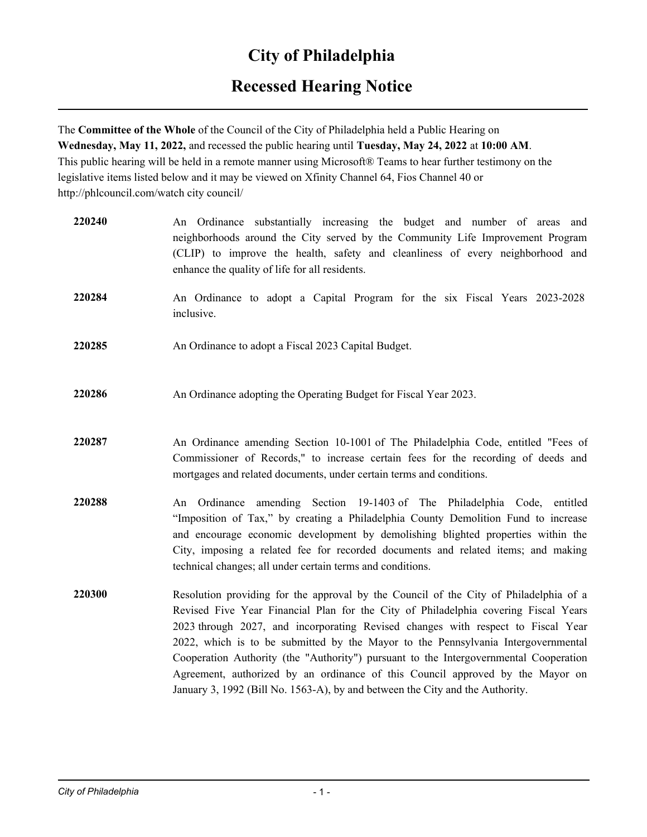# **City of Philadelphia**

## **Recessed Hearing Notice**

The **Committee of the Whole** of the Council of the City of Philadelphia held a Public Hearing on **Wednesday, May 11, 2022,** and recessed the public hearing until **Tuesday, May 24, 2022** at **10:00 AM**. This public hearing will be held in a remote manner using Microsoft® Teams to hear further testimony on the legislative items listed below and it may be viewed on Xfinity Channel 64, Fios Channel 40 or http://phlcouncil.com/watch city council/

| 220240 | An Ordinance substantially increasing the budget and number of areas and<br>neighborhoods around the City served by the Community Life Improvement Program<br>(CLIP) to improve the health, safety and cleanliness of every neighborhood and<br>enhance the quality of life for all residents.                                                                                                                                                                                                                                                                                                                    |
|--------|-------------------------------------------------------------------------------------------------------------------------------------------------------------------------------------------------------------------------------------------------------------------------------------------------------------------------------------------------------------------------------------------------------------------------------------------------------------------------------------------------------------------------------------------------------------------------------------------------------------------|
| 220284 | An Ordinance to adopt a Capital Program for the six Fiscal Years 2023-2028<br>inclusive.                                                                                                                                                                                                                                                                                                                                                                                                                                                                                                                          |
| 220285 | An Ordinance to adopt a Fiscal 2023 Capital Budget.                                                                                                                                                                                                                                                                                                                                                                                                                                                                                                                                                               |
| 220286 | An Ordinance adopting the Operating Budget for Fiscal Year 2023.                                                                                                                                                                                                                                                                                                                                                                                                                                                                                                                                                  |
| 220287 | An Ordinance amending Section 10-1001 of The Philadelphia Code, entitled "Fees of<br>Commissioner of Records," to increase certain fees for the recording of deeds and<br>mortgages and related documents, under certain terms and conditions.                                                                                                                                                                                                                                                                                                                                                                    |
| 220288 | An Ordinance amending Section 19-1403 of The Philadelphia Code, entitled<br>"Imposition of Tax," by creating a Philadelphia County Demolition Fund to increase<br>and encourage economic development by demolishing blighted properties within the<br>City, imposing a related fee for recorded documents and related items; and making<br>technical changes; all under certain terms and conditions.                                                                                                                                                                                                             |
| 220300 | Resolution providing for the approval by the Council of the City of Philadelphia of a<br>Revised Five Year Financial Plan for the City of Philadelphia covering Fiscal Years<br>2023 through 2027, and incorporating Revised changes with respect to Fiscal Year<br>2022, which is to be submitted by the Mayor to the Pennsylvania Intergovernmental<br>Cooperation Authority (the "Authority") pursuant to the Intergovernmental Cooperation<br>Agreement, authorized by an ordinance of this Council approved by the Mayor on<br>January 3, 1992 (Bill No. 1563-A), by and between the City and the Authority. |